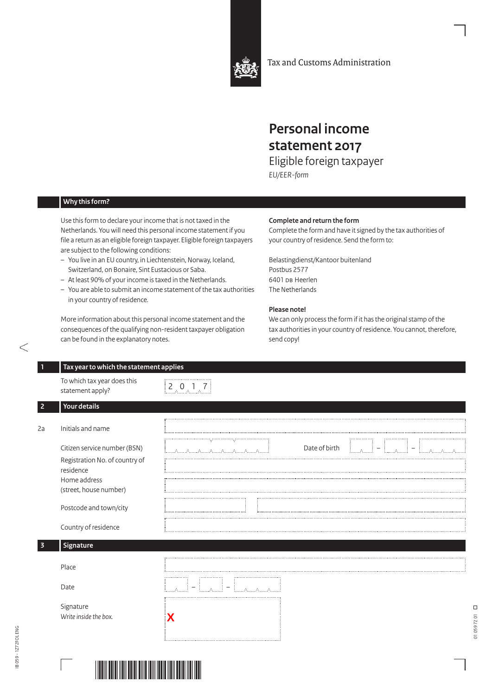

Tax and Customs Administration

## **Personal income statement 2017**

Eligible foreign taxpayer *EU/EER-form*

## **Why this form?**

Use this form to declare your income that is not taxed in the Netherlands. You will need this personal income statement if you file a return as an eligible foreign taxpayer. Eligible foreign taxpayers are subject to the following conditions:

- You live in an EU country, in Liechtenstein, Norway, Iceland, Switzerland, on Bonaire, Sint Eustacious or Saba.
- At least 90% of your income is taxed in the Netherlands.
- You are able to submit an income statement of the tax authorities in your country of residence.

More information about this personal income statement and the consequences of the qualifying non-resident taxpayer obligation can be found in the explanatory notes.

## **Complete and return the form**

Complete the form and have it signed by the tax authorities of your country of residence. Send the form to:

Belastingdienst/Kantoor buitenland Postbus 2577 6401 DB Heerlen The Netherlands

## **Please note!**

We can only process the form if it has the original stamp of the tax authorities in your country of residence. You cannot, therefore, send copy!

| 1                       | Tax year to which the statement applies                                                                               |                                               |  |
|-------------------------|-----------------------------------------------------------------------------------------------------------------------|-----------------------------------------------|--|
|                         | To which tax year does this<br>statement apply?                                                                       | $\begin{bmatrix} 2 & 0 & 1 & 7 \end{bmatrix}$ |  |
| $\overline{2}$          | Your details                                                                                                          |                                               |  |
| 2a                      | Initials and name                                                                                                     |                                               |  |
|                         | Citizen service number (BSN)<br>Registration No. of country of<br>residence<br>Home address<br>(street, house number) | Date of birth<br>$\mathcal{A}_1$              |  |
|                         | Postcode and town/city                                                                                                |                                               |  |
|                         | Country of residence                                                                                                  |                                               |  |
| $\overline{\mathbf{3}}$ | Signature                                                                                                             |                                               |  |
|                         | Place                                                                                                                 |                                               |  |
|                         | Date                                                                                                                  | $\sim 200$<br><b>CALCA CA</b>                 |  |
|                         | Signature<br>Write inside the box.                                                                                    |                                               |  |

Entrancement



 $\Box$